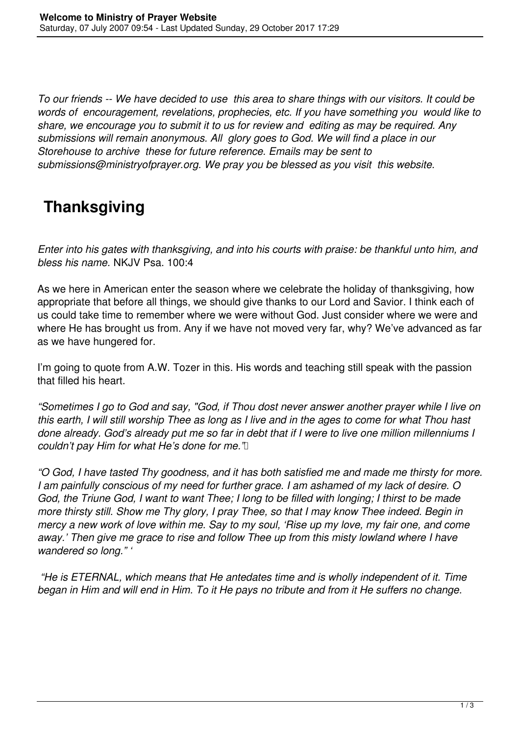*To our friends -- We have decided to use this area to share things with our visitors. It could be words of encouragement, revelations, prophecies, etc. If you have something you would like to share, we encourage you to submit it to us for review and editing as may be required. Any submissions will remain anonymous. All glory goes to God. We will find a place in our Storehouse to archive these for future reference. Emails may be sent to submissions@ministryofprayer.org. We pray you be blessed as you visit this website.*

## **Thanksgiving**

*Enter into his gates with thanksgiving, and into his courts with praise: be thankful unto him, and bless his name.* NKJV Psa. 100:4

As we here in American enter the season where we celebrate the holiday of thanksgiving, how appropriate that before all things, we should give thanks to our Lord and Savior. I think each of us could take time to remember where we were without God. Just consider where we were and where He has brought us from. Any if we have not moved very far, why? We've advanced as far as we have hungered for.

I'm going to quote from A.W. Tozer in this. His words and teaching still speak with the passion that filled his heart.

*"Sometimes I go to God and say, "God, if Thou dost never answer another prayer while I live on this earth, I will still worship Thee as long as I live and in the ages to come for what Thou hast done already. God's already put me so far in debt that if I were to live one million millenniums I* couldn't pay Him for what He's done for me.'ll

*"O God, I have tasted Thy goodness, and it has both satisfied me and made me thirsty for more. I am painfully conscious of my need for further grace. I am ashamed of my lack of desire. O God, the Triune God, I want to want Thee; I long to be filled with longing; I thirst to be made more thirsty still. Show me Thy glory, I pray Thee, so that I may know Thee indeed. Begin in mercy a new work of love within me. Say to my soul, 'Rise up my love, my fair one, and come away.' Then give me grace to rise and follow Thee up from this misty lowland where I have wandered so long." '*

 *"He is ETERNAL, which means that He antedates time and is wholly independent of it. Time began in Him and will end in Him. To it He pays no tribute and from it He suffers no change.*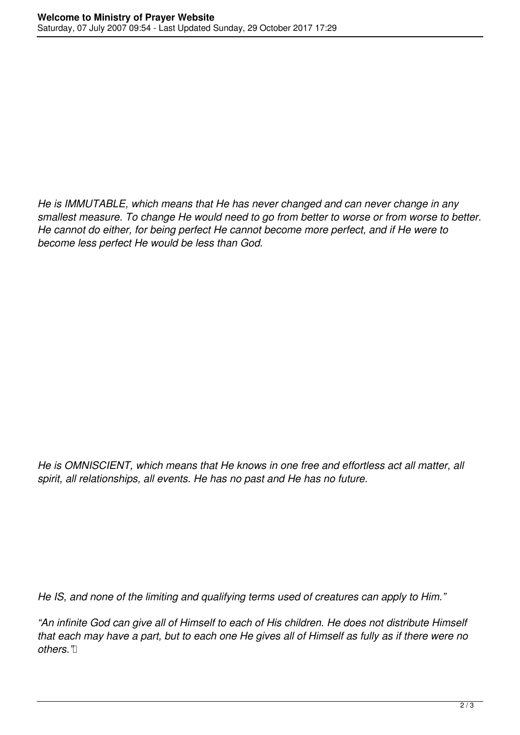*He is IMMUTABLE, which means that He has never changed and can never change in any smallest measure. To change He would need to go from better to worse or from worse to better. He cannot do either, for being perfect He cannot become more perfect, and if He were to become less perfect He would be less than God.*

*He is OMNISCIENT, which means that He knows in one free and effortless act all matter, all spirit, all relationships, all events. He has no past and He has no future.*

*He IS, and none of the limiting and qualifying terms used of creatures can apply to Him."* 

*"An infinite God can give all of Himself to each of His children. He does not distribute Himself that each may have a part, but to each one He gives all of Himself as fully as if there were no others."*